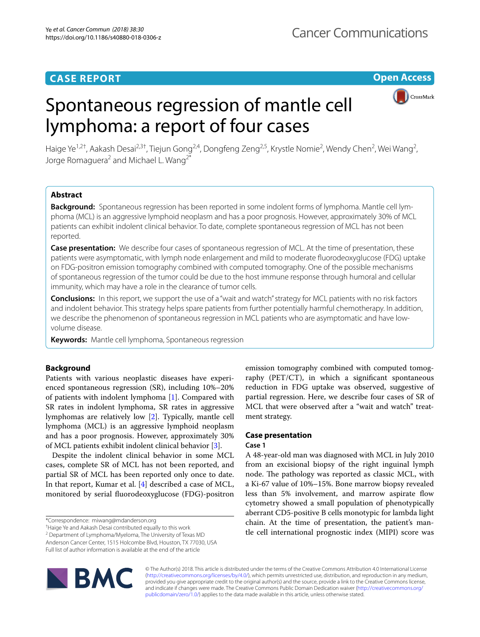# **CASE REPORT**

**Open Access**

# CrossMark

# Spontaneous regression of mantle cell lymphoma: a report of four cases



Haige Ye<sup>1,2†</sup>, Aakash Desai<sup>2,3†</sup>, Tiejun Gong<sup>2,4</sup>, Dongfeng Zeng<sup>2,5</sup>, Krystle Nomie<sup>2</sup>, Wendy Chen<sup>2</sup>, Wei Wang<sup>2</sup>, Jorge Romaguera<sup>2</sup> and Michael L. Wang<sup>2\*</sup>

# **Abstract**

**Background:** Spontaneous regression has been reported in some indolent forms of lymphoma. Mantle cell lymphoma (MCL) is an aggressive lymphoid neoplasm and has a poor prognosis. However, approximately 30% of MCL patients can exhibit indolent clinical behavior. To date, complete spontaneous regression of MCL has not been reported.

**Case presentation:** We describe four cases of spontaneous regression of MCL. At the time of presentation, these patients were asymptomatic, with lymph node enlargement and mild to moderate fuorodeoxyglucose (FDG) uptake on FDG-positron emission tomography combined with computed tomography. One of the possible mechanisms of spontaneous regression of the tumor could be due to the host immune response through humoral and cellular immunity, which may have a role in the clearance of tumor cells.

**Conclusions:** In this report, we support the use of a "wait and watch" strategy for MCL patients with no risk factors and indolent behavior. This strategy helps spare patients from further potentially harmful chemotherapy. In addition, we describe the phenomenon of spontaneous regression in MCL patients who are asymptomatic and have lowvolume disease.

**Keywords:** Mantle cell lymphoma, Spontaneous regression

# **Background**

Patients with various neoplastic diseases have experienced spontaneous regression (SR), including 10%–20% of patients with indolent lymphoma [\[1](#page-4-0)]. Compared with SR rates in indolent lymphoma, SR rates in aggressive lymphomas are relatively low [[2](#page-4-1)]. Typically, mantle cell lymphoma (MCL) is an aggressive lymphoid neoplasm and has a poor prognosis. However, approximately 30% of MCL patients exhibit indolent clinical behavior [\[3](#page-4-2)].

Despite the indolent clinical behavior in some MCL cases, complete SR of MCL has not been reported, and partial SR of MCL has been reported only once to date. In that report, Kumar et al. [[4\]](#page-4-3) described a case of MCL, monitored by serial fuorodeoxyglucose (FDG)-positron

† Haige Ye and Aakash Desai contributed equally to this work

<sup>2</sup> Department of Lymphoma/Myeloma, The University of Texas MD Anderson Cancer Center, 1515 Holcombe Blvd, Houston, TX 77030, USA Full list of author information is available at the end of the article

emission tomography combined with computed tomography (PET/CT), in which a signifcant spontaneous reduction in FDG uptake was observed, suggestive of partial regression. Here, we describe four cases of SR of MCL that were observed after a "wait and watch" treatment strategy.

# **Case presentation**

## **Case 1**

A 48-year-old man was diagnosed with MCL in July 2010 from an excisional biopsy of the right inguinal lymph node. The pathology was reported as classic MCL, with a Ki-67 value of 10%–15%. Bone marrow biopsy revealed less than 5% involvement, and marrow aspirate fow cytometry showed a small population of phenotypically aberrant CD5-positive B cells monotypic for lambda light chain. At the time of presentation, the patient's mantle cell international prognostic index (MIPI) score was



© The Author(s) 2018. This article is distributed under the terms of the Creative Commons Attribution 4.0 International License [\(http://creativecommons.org/licenses/by/4.0/\)](http://creativecommons.org/licenses/by/4.0/), which permits unrestricted use, distribution, and reproduction in any medium, provided you give appropriate credit to the original author(s) and the source, provide a link to the Creative Commons license, and indicate if changes were made. The Creative Commons Public Domain Dedication waiver ([http://creativecommons.org/](http://creativecommons.org/publicdomain/zero/1.0/) [publicdomain/zero/1.0/](http://creativecommons.org/publicdomain/zero/1.0/)) applies to the data made available in this article, unless otherwise stated.

<sup>\*</sup>Correspondence: miwang@mdanderson.org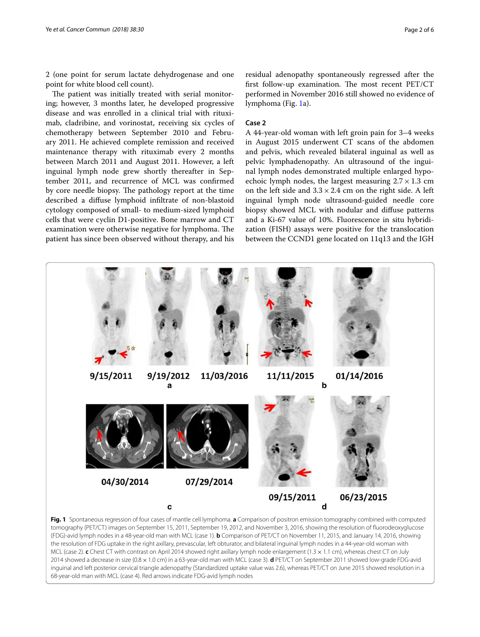2 (one point for serum lactate dehydrogenase and one point for white blood cell count).

The patient was initially treated with serial monitoring; however, 3 months later, he developed progressive disease and was enrolled in a clinical trial with rituximab, cladribine, and vorinostat, receiving six cycles of chemotherapy between September 2010 and February 2011. He achieved complete remission and received maintenance therapy with rituximab every 2 months between March 2011 and August 2011. However, a left inguinal lymph node grew shortly thereafter in September 2011, and recurrence of MCL was confrmed by core needle biopsy. The pathology report at the time described a difuse lymphoid infltrate of non-blastoid cytology composed of small- to medium-sized lymphoid cells that were cyclin D1-positive. Bone marrow and CT examination were otherwise negative for lymphoma. The patient has since been observed without therapy, and his

residual adenopathy spontaneously regressed after the first follow-up examination. The most recent  $PET/CT$ performed in November 2016 still showed no evidence of lymphoma (Fig. [1](#page-1-0)a).

## **Case 2**

A 44-year-old woman with left groin pain for 3–4 weeks in August 2015 underwent CT scans of the abdomen and pelvis, which revealed bilateral inguinal as well as pelvic lymphadenopathy. An ultrasound of the inguinal lymph nodes demonstrated multiple enlarged hypoechoic lymph nodes, the largest measuring  $2.7 \times 1.3$  cm on the left side and  $3.3 \times 2.4$  cm on the right side. A left inguinal lymph node ultrasound-guided needle core biopsy showed MCL with nodular and difuse patterns and a Ki-67 value of 10%. Fluorescence in situ hybridization (FISH) assays were positive for the translocation between the CCND1 gene located on 11q13 and the IGH

<span id="page-1-0"></span>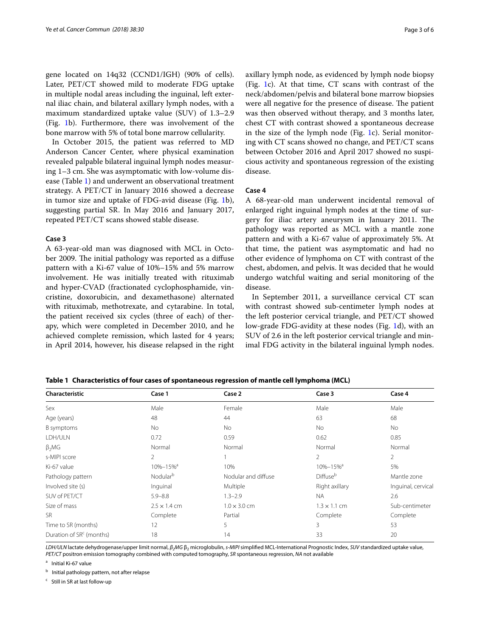gene located on 14q32 (CCND1/IGH) (90% of cells). Later, PET/CT showed mild to moderate FDG uptake in multiple nodal areas including the inguinal, left external iliac chain, and bilateral axillary lymph nodes, with a maximum standardized uptake value (SUV) of 1.3–2.9 (Fig. [1b](#page-1-0)). Furthermore, there was involvement of the bone marrow with 5% of total bone marrow cellularity.

In October 2015, the patient was referred to MD Anderson Cancer Center, where physical examination revealed palpable bilateral inguinal lymph nodes measuring 1–3 cm. She was asymptomatic with low-volume disease (Table [1\)](#page-2-0) and underwent an observational treatment strategy. A PET/CT in January 2016 showed a decrease in tumor size and uptake of FDG-avid disease (Fig. [1b](#page-1-0)), suggesting partial SR. In May 2016 and January 2017, repeated PET/CT scans showed stable disease.

## **Case 3**

A 63-year-old man was diagnosed with MCL in October 2009. The initial pathology was reported as a diffuse pattern with a Ki-67 value of 10%–15% and 5% marrow involvement. He was initially treated with rituximab and hyper-CVAD (fractionated cyclophosphamide, vincristine, doxorubicin, and dexamethasone) alternated with rituximab, methotrexate, and cytarabine. In total, the patient received six cycles (three of each) of therapy, which were completed in December 2010, and he achieved complete remission, which lasted for 4 years; in April 2014, however, his disease relapsed in the right axillary lymph node, as evidenced by lymph node biopsy (Fig. [1](#page-1-0)c). At that time, CT scans with contrast of the neck/abdomen/pelvis and bilateral bone marrow biopsies were all negative for the presence of disease. The patient was then observed without therapy, and 3 months later, chest CT with contrast showed a spontaneous decrease in the size of the lymph node (Fig. [1](#page-1-0)c). Serial monitoring with CT scans showed no change, and PET/CT scans between October 2016 and April 2017 showed no suspicious activity and spontaneous regression of the existing disease.

### **Case 4**

A 68-year-old man underwent incidental removal of enlarged right inguinal lymph nodes at the time of surgery for iliac artery aneurysm in January 2011. The pathology was reported as MCL with a mantle zone pattern and with a Ki-67 value of approximately 5%. At that time, the patient was asymptomatic and had no other evidence of lymphoma on CT with contrast of the chest, abdomen, and pelvis. It was decided that he would undergo watchful waiting and serial monitoring of the disease.

In September 2011, a surveillance cervical CT scan with contrast showed sub-centimeter lymph nodes at the left posterior cervical triangle, and PET/CT showed low-grade FDG-avidity at these nodes (Fig. [1](#page-1-0)d), with an SUV of 2.6 in the left posterior cervical triangle and minimal FDG activity in the bilateral inguinal lymph nodes.

<span id="page-2-0"></span>

|  |  | Table 1 Characteristics of four cases of spontaneous regression of mantle cell lymphoma (MCL) |  |  |
|--|--|-----------------------------------------------------------------------------------------------|--|--|
|--|--|-----------------------------------------------------------------------------------------------|--|--|

| Characteristic                       | Case 1                     | Case 2              | Case 3                     | Case 4             |
|--------------------------------------|----------------------------|---------------------|----------------------------|--------------------|
| Sex                                  | Male                       | Female              | Male                       | Male               |
| Age (years)                          | 48                         | 44                  | 63                         | 68                 |
| B symptoms                           | No                         | No                  | No                         | <b>No</b>          |
| LDH/ULN                              | 0.72                       | 0.59                | 0.62                       | 0.85               |
| $\beta_2 MG$                         | Normal                     | Normal              | Normal                     | Normal             |
| s-MIPI score                         | 2                          |                     | $\overline{2}$             | 2                  |
| Ki-67 value                          | $10\% - 15\%$ <sup>a</sup> | 10%                 | $10\% - 15\%$ <sup>a</sup> | 5%                 |
| Pathology pattern                    | Nodular <sup>b</sup>       | Nodular and diffuse | Diffuse <sup>b</sup>       | Mantle zone        |
| Involved site (s)                    | Inquinal                   | Multiple            | Right axillary             | Inquinal, cervical |
| SUV of PET/CT                        | $5.9 - 8.8$                | $1.3 - 2.9$         | <b>NA</b>                  | 2.6                |
| Size of mass                         | $2.5 \times 1.4$ cm        | $1.0 \times 3.0$ cm | $1.3 \times 1.1$ cm        | Sub-centimeter     |
| <b>SR</b>                            | Complete                   | Partial             | Complete                   | Complete           |
| Time to SR (months)                  | 12                         | 5                   | 3                          | 53                 |
| Duration of SR <sup>c</sup> (months) | 18                         | 14                  | 33                         | 20                 |

*LDH/ULN* lactate dehydrogenase/upper limit normal, β<sub>2</sub>MG β<sub>2</sub> microglobulin, *s-MIPI* simplified MCL-International Prognostic Index, *SUV* standardized uptake value, *PET/CT* positron emission tomography combined with computed tomography, *SR* spontaneous regression, *NA* not available

<sup>a</sup> Initial Ki-67 value

**b** Initial pathology pattern, not after relapse

c Still in SR at last follow-up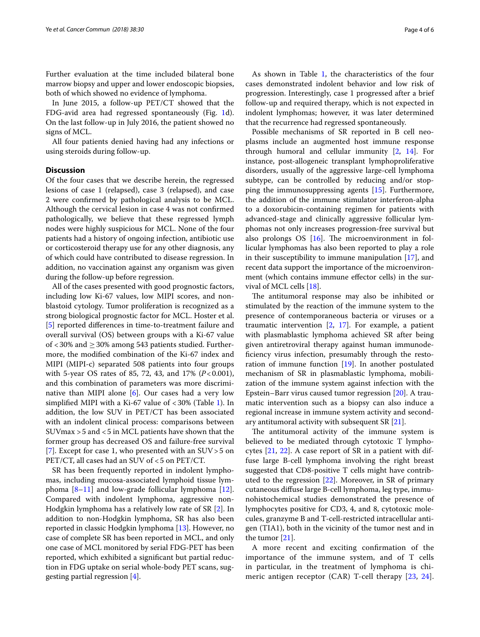Further evaluation at the time included bilateral bone marrow biopsy and upper and lower endoscopic biopsies, both of which showed no evidence of lymphoma.

In June 2015, a follow-up PET/CT showed that the FDG-avid area had regressed spontaneously (Fig. [1d](#page-1-0)). On the last follow-up in July 2016, the patient showed no signs of MCL.

All four patients denied having had any infections or using steroids during follow-up.

## **Discussion**

Of the four cases that we describe herein, the regressed lesions of case 1 (relapsed), case 3 (relapsed), and case 2 were confrmed by pathological analysis to be MCL. Although the cervical lesion in case 4 was not confrmed pathologically, we believe that these regressed lymph nodes were highly suspicious for MCL. None of the four patients had a history of ongoing infection, antibiotic use or corticosteroid therapy use for any other diagnosis, any of which could have contributed to disease regression. In addition, no vaccination against any organism was given during the follow-up before regression.

All of the cases presented with good prognostic factors, including low Ki-67 values, low MIPI scores, and nonblastoid cytology. Tumor proliferation is recognized as a strong biological prognostic factor for MCL. Hoster et al. [[5\]](#page-4-4) reported diferences in time-to-treatment failure and overall survival (OS) between groups with a Ki-67 value of  $<$  30% and  $\geq$  30% among 543 patients studied. Furthermore, the modifed combination of the Ki-67 index and MIPI (MIPI-c) separated 508 patients into four groups with 5-year OS rates of 85, 72, 43, and 17% (*P*<0.001), and this combination of parameters was more discriminative than MIPI alone  $[6]$ . Our cases had a very low simplified MIPI with a Ki-67 value of  $<30\%$  (Table [1](#page-2-0)). In addition, the low SUV in PET/CT has been associated with an indolent clinical process: comparisons between SUVmax >5 and <5 in MCL patients have shown that the former group has decreased OS and failure-free survival [[7\]](#page-4-6). Except for case 1, who presented with an  $SUV > 5$  on PET/CT, all cases had an SUV of <5 on PET/CT.

SR has been frequently reported in indolent lymphomas, including mucosa-associated lymphoid tissue lymphoma  $[8-11]$  $[8-11]$  and low-grade follicular lymphoma  $[12]$  $[12]$ . Compared with indolent lymphoma, aggressive non-Hodgkin lymphoma has a relatively low rate of SR [[2\]](#page-4-1). In addition to non-Hodgkin lymphoma, SR has also been reported in classic Hodgkin lymphoma [\[13](#page-4-10)]. However, no case of complete SR has been reported in MCL, and only one case of MCL monitored by serial FDG-PET has been reported, which exhibited a signifcant but partial reduction in FDG uptake on serial whole-body PET scans, suggesting partial regression [[4](#page-4-3)].

As shown in Table [1,](#page-2-0) the characteristics of the four cases demonstrated indolent behavior and low risk of progression. Interestingly, case 1 progressed after a brief follow-up and required therapy, which is not expected in indolent lymphomas; however, it was later determined that the recurrence had regressed spontaneously.

Possible mechanisms of SR reported in B cell neoplasms include an augmented host immune response through humoral and cellular immunity [[2](#page-4-1), [14](#page-4-11)]. For instance, post-allogeneic transplant lymphoproliferative disorders, usually of the aggressive large-cell lymphoma subtype, can be controlled by reducing and/or stopping the immunosuppressing agents [[15](#page-4-12)]. Furthermore, the addition of the immune stimulator interferon-alpha to a doxorubicin-containing regimen for patients with advanced-stage and clinically aggressive follicular lymphomas not only increases progression-free survival but also prolongs  $OS$  [\[16\]](#page-5-0). The microenvironment in follicular lymphomas has also been reported to play a role in their susceptibility to immune manipulation [\[17\]](#page-5-1), and recent data support the importance of the microenvironment (which contains immune efector cells) in the survival of MCL cells [\[18](#page-5-2)].

The antitumoral response may also be inhibited or stimulated by the reaction of the immune system to the presence of contemporaneous bacteria or viruses or a traumatic intervention [\[2,](#page-4-1) [17](#page-5-1)]. For example, a patient with plasmablastic lymphoma achieved SR after being given antiretroviral therapy against human immunodefciency virus infection, presumably through the restoration of immune function [[19\]](#page-5-3). In another postulated mechanism of SR in plasmablastic lymphoma, mobilization of the immune system against infection with the Epstein–Barr virus caused tumor regression [[20\]](#page-5-4). A traumatic intervention such as a biopsy can also induce a regional increase in immune system activity and secondary antitumoral activity with subsequent SR  $[21]$  $[21]$ .

The antitumoral activity of the immune system is believed to be mediated through cytotoxic T lymphocytes [\[21,](#page-5-5) [22](#page-5-6)]. A case report of SR in a patient with diffuse large B-cell lymphoma involving the right breast suggested that CD8-positive T cells might have contributed to the regression [[22\]](#page-5-6). Moreover, in SR of primary cutaneous difuse large B-cell lymphoma, leg type, immunohistochemical studies demonstrated the presence of lymphocytes positive for CD3, 4, and 8, cytotoxic molecules, granzyme B and T-cell-restricted intracellular antigen (TIA1), both in the vicinity of the tumor nest and in the tumor [\[21](#page-5-5)].

A more recent and exciting confrmation of the importance of the immune system, and of T cells in particular, in the treatment of lymphoma is chimeric antigen receptor (CAR) T-cell therapy [\[23,](#page-5-7) [24](#page-5-8)].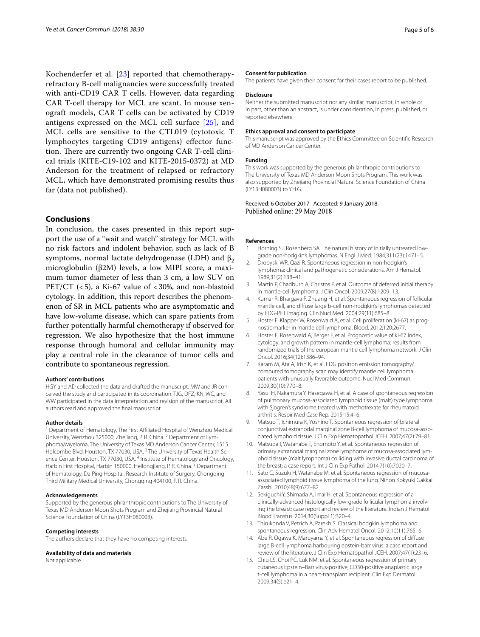Kochenderfer et al. [[23\]](#page-5-7) reported that chemotherapyrefractory B-cell malignancies were successfully treated with anti-CD19 CAR T cells. However, data regarding CAR T-cell therapy for MCL are scant. In mouse xenograft models, CAR T cells can be activated by CD19 antigens expressed on the MCL cell surface [\[25](#page-5-9)], and MCL cells are sensitive to the CTL019 (cytotoxic T lymphocytes targeting CD19 antigens) efector function. There are currently two ongoing CAR T-cell clinical trials (KITE-C19-102 and KITE-2015-0372) at MD Anderson for the treatment of relapsed or refractory MCL, which have demonstrated promising results thus far (data not published).

# **Conclusions**

In conclusion, the cases presented in this report support the use of a "wait and watch" strategy for MCL with no risk factors and indolent behavior, such as lack of B symptoms, normal lactate dehydrogenase (LDH) and  $β_2$ microglobulin (β2M) levels, a low MIPI score, a maximum tumor diameter of less than 3 cm, a low SUV on PET/CT  $(< 5)$ , a Ki-67 value of  $< 30\%$ , and non-blastoid cytology. In addition, this report describes the phenomenon of SR in MCL patients who are asymptomatic and have low-volume disease, which can spare patients from further potentially harmful chemotherapy if observed for regression. We also hypothesize that the host immune response through humoral and cellular immunity may play a central role in the clearance of tumor cells and contribute to spontaneous regression.

#### **Authors' contributions**

HGY and AD collected the data and drafted the manuscript. MW and JR conceived the study and participated in its coordination. TJG, DFZ, KN, WC, and WW participated in the data interpretation and revision of the manuscript. All authors read and approved the fnal manuscript.

#### **Author details**

<sup>1</sup> Department of Hematology, The First Affiliated Hospital of Wenzhou Medical University, Wenzhou 325000, Zhejiang, P. R. China. 2 Department of Lymphoma/Myeloma, The University of Texas MD Anderson Cancer Center, 1515 Holcombe Blvd, Houston, TX 77030, USA.<sup>3</sup> The University of Texas Health Science Center, Houston, TX 77030, USA.<sup>4</sup> Institute of Hematology and Oncology, Harbin First Hospital, Harbin 150000, Heilongjiang, P. R. China. <sup>5</sup> Department of Hematology, Da Ping Hospital, Research Institute of Surgery, Chongqing Third Military Medical University, Chongqing 404100, P. R. China.

#### **Acknowledgements**

Supported by the generous philanthropic contributions to The University of Texas MD Anderson Moon Shots Program and Zhejiang Provincial Natural Science Foundation of China (LY13H080003).

#### **Competing interests**

The authors declare that they have no competing interests.

#### **Availability of data and materials**

Not applicable.

#### **Consent for publication**

The patients have given their consent for their cases report to be published.

### **Disclosure**

Neither the submitted manuscript nor any similar manuscript, in whole or in part, other than an abstract, is under consideration, in press, published, or reported elsewhere.

#### **Ethics approval and consent to participate**

This manuscript was approved by the Ethics Committee on Scientifc Research of MD Anderson Cancer Center.

#### **Funding**

This work was supported by the generous philanthropic contributions to The University of Texas MD Anderson Moon Shots Program. This work was also supported by Zhejiang Provincial Natural Science Foundation of China (LY13H080003) to Y.H.G.

## Received: 6 October 2017 Accepted: 9 January 2018 Published online: 29 May 2018

#### **References**

- <span id="page-4-0"></span>1. Horning SJ, Rosenberg SA. The natural history of initially untreated lowgrade non-hodgkin's lymphomas. N Engl J Med. 1984;311(23):1471–5.
- <span id="page-4-1"></span>2. Drobyski WR, Qazi R. Spontaneous regression in non-hodgkin's lymphoma: clinical and pathogenetic considerations. Am J Hematol. 1989;31(2):138–41.
- <span id="page-4-2"></span>3. Martin P, Chadburn A, Christos P, et al. Outcome of deferred initial therapy in mantle-cell lymphoma. J Clin Oncol. 2009;27(8):1209–13.
- <span id="page-4-3"></span>4. Kumar R, Bhargava P, Zhuang H, et al. Spontaneous regression of follicular, mantle cell, and difuse large b-cell non-hodgkin's lymphomas detected by FDG-PET imaging. Clin Nucl Med. 2004;29(11):685–8.
- <span id="page-4-4"></span>5. Hoster E, Klapper W, Rosenwald A, et al. Cell proliferation (ki-67) as prognostic marker in mantle cell lymphoma. Blood. 2012;120:2677.
- <span id="page-4-5"></span>6. Hoster E, Rosenwald A, Berger F, et al. Prognostic value of ki-67 index, cytology, and growth pattern in mantle-cell lymphoma: results from randomized trials of the european mantle cell lymphoma network. J Clin Oncol. 2016;34(12):1386–94.
- <span id="page-4-6"></span>7. Karam M, Ata A, Irish K, et al. FDG positron emission tomography/ computed tomography scan may identify mantle cell lymphoma patients with unusually favorable outcome. Nucl Med Commun. 2009;30(10):770–8.
- <span id="page-4-7"></span>8. Yasui H, Nakamura Y, Hasegawa H, et al. A case of spontaneous regression of pulmonary mucosa-associated lymphoid tissue (malt) type lymphoma with Sjogren's syndrome treated with methotrexate for rheumatoid arthritis. Respir Med Case Rep. 2015;15:4–6.
- Matsuo T, Ichimura K, Yoshino T. Spontaneous regression of bilateral conjunctival extranodal marginal zone B-cell lymphoma of mucosa-associated lymphoid tissue. J Clin Exp Hematopathol JCEH. 2007;47(2):79–81.
- 10. Matsuda I, Watanabe T, Enomoto Y, et al. Spontaneous regression of primary extranodal marginal zone lymphoma of mucosa-associated lymphoid tissue (malt lymphoma) colliding with invasive ductal carcinoma of the breast: a case report. Int J Clin Exp Pathol. 2014;7(10):7020–7.
- <span id="page-4-8"></span>11. Sato C, Suzuki H, Watanabe M, et al. Spontaneous regression of mucosaassociated lymphoid tissue lymphoma of the lung. Nihon Kokyuki Gakkai Zasshi. 2010;48(9):677–82.
- <span id="page-4-9"></span>12. Sekiguchi Y, Shimada A, Imai H, et al. Spontaneous regression of a clinically-advanced histologically low-grade follicular lymphoma involving the breast: case report and review of the literature. Indian J Hematol Blood Transfus. 2014;30(Suppl 1):320–4.
- <span id="page-4-10"></span>13. Thirukonda V, Petrich A, Parekh S. Classical hodgkin lymphoma and spontaneous regression. Clin Adv Hematol Oncol. 2012;10(11):765–6.
- <span id="page-4-11"></span>14. Abe R, Ogawa K, Maruyama Y, et al. Spontaneous regression of difuse large B-cell lymphoma harbouring epstein-barr virus: a case report and review of the literature. J Clin Exp Hematopathol JCEH. 2007;47(1):23–6.
- <span id="page-4-12"></span>15. Chiu LS, Choi PC, Luk NM, et al. Spontaneous regression of primary cutaneous Epstein–Barr virus-positive, CD30-positive anaplastic large t-cell lymphoma in a heart-transplant recipient. Clin Exp Dermatol. 2009;34(5):e21–4.